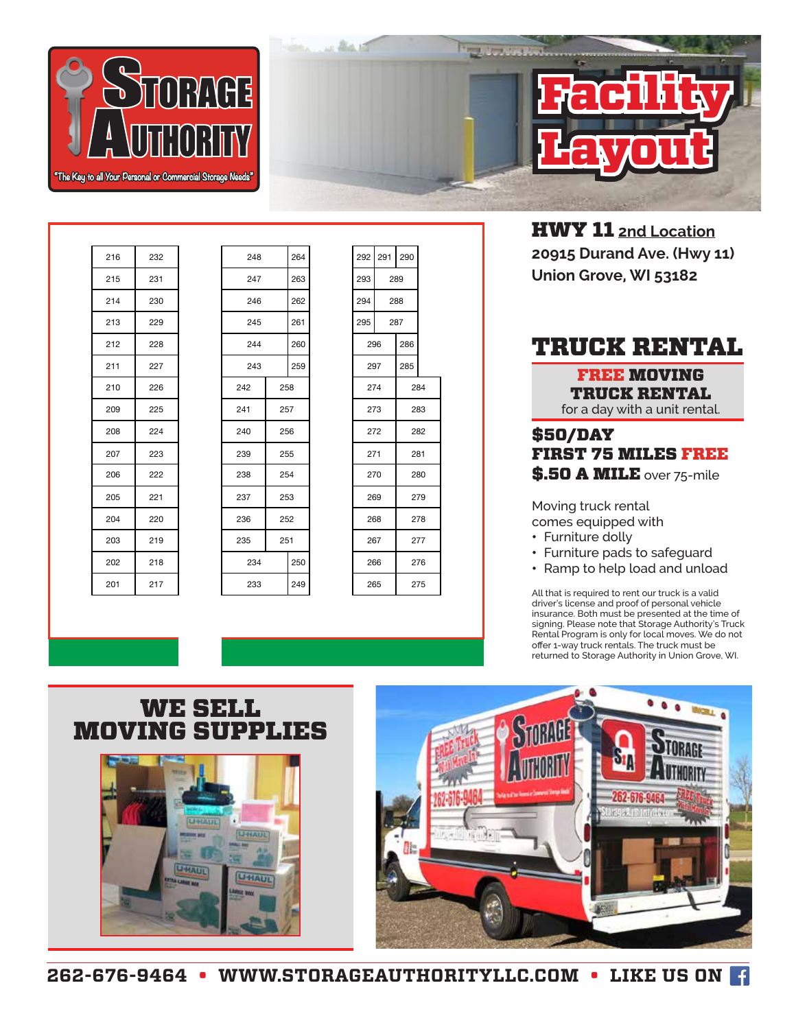



HWY 11 **2nd Location 20915 Durand Ave. (Hwy 11) Union Grove, WI 53182**

## TRUCK RENTAL

FREE MOVING TRUCK RENTAL for a day with a unit rental.

## \$50/DAY FIRST 75 MILES FREE \$.50 A MILE over 75-mile

Moving truck rental comes equipped with

- Furniture dolly
- Furniture pads to safeguard
- Ramp to help load and unload

All that is required to rent our truck is a valid driver's license and proof of personal vehicle insurance. Both must be presented at the time of signing. Please note that Storage Authority's Truck Rental Program is only for local moves. We do not offer 1-way truck rentals. The truck must be returned to Storage Authority in Union Grove, WI.

| 214 | 230 | 246 |     | 262 | 294 |     | 288 |     |
|-----|-----|-----|-----|-----|-----|-----|-----|-----|
| 213 | 229 | 245 |     | 261 | 295 |     | 287 |     |
| 212 | 228 | 244 |     | 260 |     | 296 | 286 |     |
| 211 | 227 | 243 |     | 259 |     | 297 | 285 |     |
| 210 | 226 | 242 | 258 |     |     | 274 |     | 284 |
| 209 | 225 | 241 | 257 |     |     | 273 |     | 283 |
| 208 | 224 | 240 | 256 |     | 272 |     |     | 282 |
| 207 | 223 | 239 | 255 |     | 271 |     |     | 281 |
| 206 | 222 | 238 | 254 |     |     | 270 |     | 280 |
| 205 | 221 | 237 |     | 253 |     | 269 |     | 279 |
| 204 | 220 | 236 | 252 |     |     | 268 |     | 278 |
| 203 | 219 | 235 | 251 |     |     | 267 |     | 277 |
| 202 | 218 | 234 |     | 250 |     | 266 |     | 276 |
| 201 | 217 | 233 |     | 249 |     | 265 |     | 275 |
|     |     |     |     |     |     |     |     |     |
|     |     |     |     |     |     |     |     |     |

| 216 | 232 | 248 |     | 264 | 292 | 291 | 290 |
|-----|-----|-----|-----|-----|-----|-----|-----|
| 215 | 231 | 247 |     | 263 | 293 |     | 289 |
| 214 | 230 | 246 |     | 262 | 294 |     | 288 |
| 213 | 229 | 245 |     | 261 | 295 |     | 287 |
| 212 | 228 | 244 |     | 260 | 296 |     | 286 |
| 211 | 227 | 243 |     | 259 | 297 |     | 285 |
| 210 | 226 | 242 | 258 |     |     | 274 | ź   |
| 209 | 225 | 241 | 257 |     |     | 273 | ź   |
| 208 | 224 | 240 | 256 |     | 272 |     | ź   |
| 207 | 223 | 239 | 255 |     | 271 |     | ź   |
| 206 | 222 | 238 | 254 |     |     | 270 | ź   |
| 205 | 221 | 237 | 253 |     |     | 269 | ź   |
| 204 | 220 | 236 | 252 |     |     | 268 | ź   |
| 203 | 219 | 235 | 251 |     | 267 |     | ź   |
| 202 | 218 | 234 |     | 250 |     | 266 | ź   |
| 201 | 217 | 233 |     | 249 | 265 |     | ź   |
|     |     |     |     |     |     |     |     |

| 292 | 291 290 |     |     |  |  |
|-----|---------|-----|-----|--|--|
| 293 |         | 289 |     |  |  |
| 294 |         | 288 |     |  |  |
| 295 |         | 287 |     |  |  |
|     | 296     | 286 |     |  |  |
|     | 297     | 285 |     |  |  |
|     | 274     | 284 |     |  |  |
|     | 273     | 283 |     |  |  |
|     | 272     |     | 282 |  |  |
|     | 271     |     | 281 |  |  |
|     | 270     |     | 280 |  |  |
|     | 269     |     | 279 |  |  |
|     | 268     |     | 278 |  |  |
|     | 267     |     | 277 |  |  |
|     | 266     | 276 |     |  |  |
|     | 265     |     | 275 |  |  |